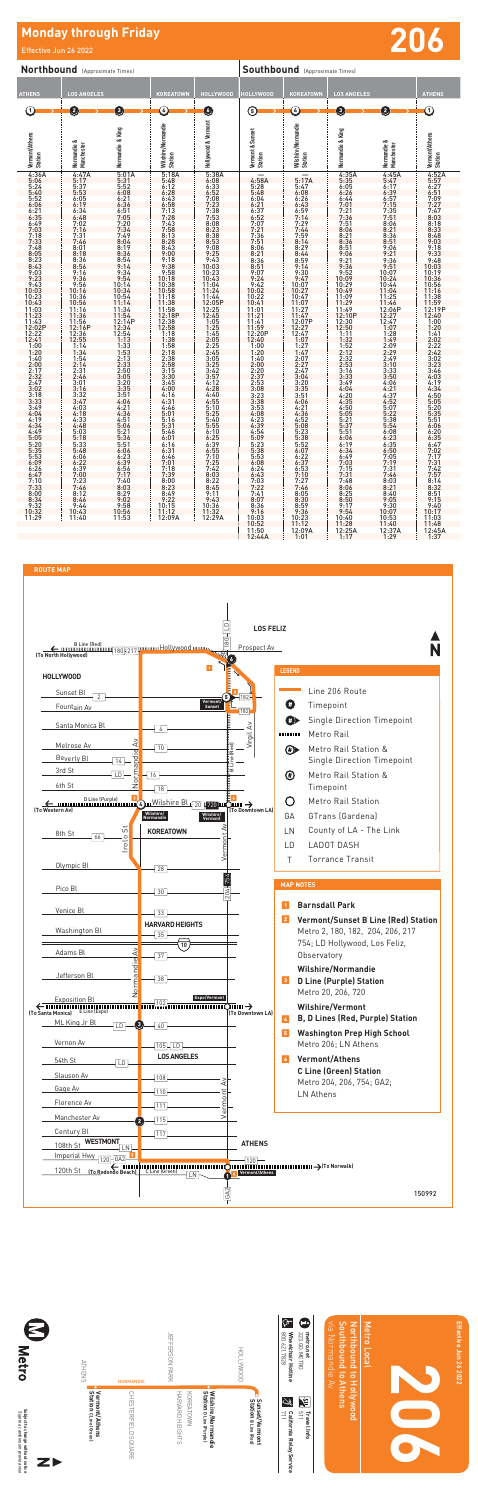# **Monday through Friday Architect Control of the Control of Telective Jun 2006**

| Northbound (Approximate Times)                                                                                                                                                                                                                                                                                                                                                                                                                                                                                                                                |                                                                                                                                                                                                                                                                                                                                                                                                                                                                                                                                             |                                                                                                                                                                                                                                                                                                                                                                                                                                                                                                                                       |                                                                                                                                                                                                                                                                                                                                                                                                                                                                                                                                                                     |                                                                                                                                                                                                                                                                                                                                                                                                                                                                                                                                                            | <b>Southbound</b> (Approximate Times)                                                                                                                                                                                                                                                                                                                                                                                                                                                                                                                |                                                                                                                                                                                                                                                                                                                                                                                                                                                                                                                                                                          |                                                                                                                                                                                                                                                                                                                                                                                                                                                                                                                                                                      |                                                                                                                                                                                                                                                                                                                                                                                                                                                                                                                                                                                                      |                                                                                                                                                                                                                                                                                                                                                                                                                                                                                                                                                                                 |  |
|---------------------------------------------------------------------------------------------------------------------------------------------------------------------------------------------------------------------------------------------------------------------------------------------------------------------------------------------------------------------------------------------------------------------------------------------------------------------------------------------------------------------------------------------------------------|---------------------------------------------------------------------------------------------------------------------------------------------------------------------------------------------------------------------------------------------------------------------------------------------------------------------------------------------------------------------------------------------------------------------------------------------------------------------------------------------------------------------------------------------|---------------------------------------------------------------------------------------------------------------------------------------------------------------------------------------------------------------------------------------------------------------------------------------------------------------------------------------------------------------------------------------------------------------------------------------------------------------------------------------------------------------------------------------|---------------------------------------------------------------------------------------------------------------------------------------------------------------------------------------------------------------------------------------------------------------------------------------------------------------------------------------------------------------------------------------------------------------------------------------------------------------------------------------------------------------------------------------------------------------------|------------------------------------------------------------------------------------------------------------------------------------------------------------------------------------------------------------------------------------------------------------------------------------------------------------------------------------------------------------------------------------------------------------------------------------------------------------------------------------------------------------------------------------------------------------|------------------------------------------------------------------------------------------------------------------------------------------------------------------------------------------------------------------------------------------------------------------------------------------------------------------------------------------------------------------------------------------------------------------------------------------------------------------------------------------------------------------------------------------------------|--------------------------------------------------------------------------------------------------------------------------------------------------------------------------------------------------------------------------------------------------------------------------------------------------------------------------------------------------------------------------------------------------------------------------------------------------------------------------------------------------------------------------------------------------------------------------|----------------------------------------------------------------------------------------------------------------------------------------------------------------------------------------------------------------------------------------------------------------------------------------------------------------------------------------------------------------------------------------------------------------------------------------------------------------------------------------------------------------------------------------------------------------------|------------------------------------------------------------------------------------------------------------------------------------------------------------------------------------------------------------------------------------------------------------------------------------------------------------------------------------------------------------------------------------------------------------------------------------------------------------------------------------------------------------------------------------------------------------------------------------------------------|---------------------------------------------------------------------------------------------------------------------------------------------------------------------------------------------------------------------------------------------------------------------------------------------------------------------------------------------------------------------------------------------------------------------------------------------------------------------------------------------------------------------------------------------------------------------------------|--|
| <b>ATHENS</b>                                                                                                                                                                                                                                                                                                                                                                                                                                                                                                                                                 | <b>LOS ANGELES</b>                                                                                                                                                                                                                                                                                                                                                                                                                                                                                                                          |                                                                                                                                                                                                                                                                                                                                                                                                                                                                                                                                       | KOREATOWN                                                                                                                                                                                                                                                                                                                                                                                                                                                                                                                                                           | <b>HOLLYWOOD</b>                                                                                                                                                                                                                                                                                                                                                                                                                                                                                                                                           | <b>HOLLYWOOD</b>                                                                                                                                                                                                                                                                                                                                                                                                                                                                                                                                     | <b>KOREATOWN</b>                                                                                                                                                                                                                                                                                                                                                                                                                                                                                                                                                         | <b>LOS ANGELES</b>                                                                                                                                                                                                                                                                                                                                                                                                                                                                                                                                                   |                                                                                                                                                                                                                                                                                                                                                                                                                                                                                                                                                                                                      | <b>ATHENS</b>                                                                                                                                                                                                                                                                                                                                                                                                                                                                                                                                                                   |  |
| ➀                                                                                                                                                                                                                                                                                                                                                                                                                                                                                                                                                             | 2                                                                                                                                                                                                                                                                                                                                                                                                                                                                                                                                           | $\boxed{3}$                                                                                                                                                                                                                                                                                                                                                                                                                                                                                                                           | C                                                                                                                                                                                                                                                                                                                                                                                                                                                                                                                                                                   | O                                                                                                                                                                                                                                                                                                                                                                                                                                                                                                                                                          | ⊕                                                                                                                                                                                                                                                                                                                                                                                                                                                                                                                                                    | G                                                                                                                                                                                                                                                                                                                                                                                                                                                                                                                                                                        | $\left( \begin{matrix} 0 \end{matrix} \right)$                                                                                                                                                                                                                                                                                                                                                                                                                                                                                                                       | $\left( 2\right)$                                                                                                                                                                                                                                                                                                                                                                                                                                                                                                                                                                                    | ⊙                                                                                                                                                                                                                                                                                                                                                                                                                                                                                                                                                                               |  |
| Vermont/Athens<br>Station                                                                                                                                                                                                                                                                                                                                                                                                                                                                                                                                     | ಂಶ<br>Manchester<br>Normandie                                                                                                                                                                                                                                                                                                                                                                                                                                                                                                               | & King<br>Normandie                                                                                                                                                                                                                                                                                                                                                                                                                                                                                                                   | Wilshire/Normandie<br>Station                                                                                                                                                                                                                                                                                                                                                                                                                                                                                                                                       | Hollywood & Vermont                                                                                                                                                                                                                                                                                                                                                                                                                                                                                                                                        | Vermont & Sunset<br>Station                                                                                                                                                                                                                                                                                                                                                                                                                                                                                                                          | Wilshire/Normandie<br>Station                                                                                                                                                                                                                                                                                                                                                                                                                                                                                                                                            | Normandie & King                                                                                                                                                                                                                                                                                                                                                                                                                                                                                                                                                     | ಂಶ<br>Manchester<br>Normandie                                                                                                                                                                                                                                                                                                                                                                                                                                                                                                                                                                        | Vermont/Athens<br>Station                                                                                                                                                                                                                                                                                                                                                                                                                                                                                                                                                       |  |
| 4:36A<br>$\frac{5:06}{5:24}$<br>5:24<br>5:40<br>5:52<br>6:06<br>6:21<br>$6:35$<br>$6:49$<br>$7:03$<br>$7:18$<br>$7:33$<br>$7:48$<br>8:05<br>8:23<br>8:43<br>9:03<br>9:23<br>$9:43$<br>$10:03$<br>$10:23$<br>$10:43$<br>$11:03$<br>11:23<br>11:43<br>12:02P<br>$\frac{12:22}{12:41}$<br>1:00<br>1:20<br>$\frac{1:40}{2:00}$<br>2:17<br>2:32<br>2:32<br>2:47<br>3:02<br>$3:18$<br>$3:33$<br>3:49<br>4:04<br>4:19<br>4:34<br>4:49<br>5:05<br>$\frac{5:20}{5:35}$<br>5:53<br>6:09<br>6:26<br>6:47<br>$7:10$<br>$7:33$<br>8:00<br>8:34<br>$9:32$<br>10:32<br>11:29 | $4:47A$<br>5:17<br>5:37<br>5:53<br>6:05<br>6:19<br>6:34<br>$6:48$<br>$7:02$<br>$7:16$<br>$7:31$<br>7:46<br>$8:01$<br>$8:18$<br>$8:36$<br>$8:56$<br>9:16<br>9:36<br>9:56<br>$10:16$<br>$10:36$<br>$10:56$<br>$11:16$<br>11:36<br>11:56<br>$12:16P$<br>$12:36$<br>$12:55$<br>$1:14$<br>1:34<br>1:54<br>2:14<br>2:31<br>2:46<br>3:01<br>3:16<br>$3:32$<br>$3:47$<br>$4:03$<br>$4:18$<br>$4:33$<br>$4:48$<br>5:03<br>5:18<br>5:33<br>5:48<br>$6:06$<br>$6:22$<br>$6:39$<br>$7:00$<br>7:23<br>$7:46$<br>8:12<br>8:46<br>$9:44$<br>10:43<br>11:40 | 5:01A<br>$5:31$<br>$5:52$<br>$6:08$<br>6:21<br>6:51<br>7:05<br>$7:20$<br>$7:34$<br>$7:49$<br>8:04<br>8:19<br>8:36<br>$8:54$<br>9:14<br>9:34<br>9:54<br>10:14<br>$\begin{array}{c} 10:34 \\ 10:54 \\ 11:14 \\ 11:34 \\ 11:54 \end{array}$<br>12:14P<br>$12:34$<br>$12:54$<br>$1:13$<br>1:33<br>1:53<br>$2:13$<br>$2:33$<br>2:50<br>3:05<br>3:20<br>3:35<br>3:51<br>4:06<br>$4:21$<br>$4:36$<br>$4:51$<br>5:06<br>5:21<br>5:36<br>5:51<br>6:06<br>$6:23$<br>$6:39$<br>$6:56$<br>7:17<br>$7:40$<br>8:03<br>8:29<br>9:02<br>9:58<br>10:56 | 5:18A<br>$5:48$<br>$6:12$<br>$6:28$<br>$6:43$<br>$6:58$<br>$7:13$<br>$7:28$<br>$7:43$<br>$7:58$<br>$8:13$<br>$8:28$<br>$8:43$<br>$9:00$<br>$9:18$<br>$9:38$<br>9:58<br>10:18<br>10:38<br>11:18<br>11:38<br>12:18P<br>12:38<br>$\begin{array}{r} 12.58 \\ 1.18 \\ 1.38 \end{array}$<br>1:58<br>2:18<br>2:38<br>$3:15$<br>$3:30$<br>3:45<br>4:00<br>4:16<br>4:31<br>4:46<br>5:01<br>5:16<br>5:31<br>5:46<br>6:01<br>6:16<br>6:31<br>$6:46$<br>$7:01$<br>7:18<br>7:39<br>$8:00$<br>$8:23$<br>$8:49$<br>9:22<br>$\begin{array}{c} 10.15 \\ 11.12 \\ 12.09A \end{array}$ | 5:38A<br>$6:08$<br>$6:33$<br>$6:52$<br>7:08<br>7:23<br>7:38<br>7:53<br>8:08<br>$8:23$<br>$8:38$<br>8:53<br>9:08<br>9:25<br>$9:43$<br>10:03<br>10:23<br>10:43<br>$11:04$<br>$11:24$<br>11:44<br>$12:05P$<br>$12:25$<br>$12:45$<br>1:05<br>1:25<br>$\frac{1:45}{2:05}$<br>2:25<br>2:45<br>$\frac{3:05}{3:25}$<br>$3:42$<br>$3:57$<br>4:12<br>4:28<br>4:40<br>$4:55$<br>$5:10$<br>$\frac{5:25}{5:40}$<br>5:55<br>6:10<br>6:25<br>$6:39$<br>$6:55$<br>$7:10$<br>$7:25$<br>$7:42$<br>8:03<br>$8:22$<br>$8:45$<br>$9:11$<br>9:43<br>10:36<br>$11:32$<br>$12:29A$ | $4:58A$<br>5:28<br>5:48<br>6:04<br>6:21<br>$6:52$<br>$7:07$<br>$7:21$<br>7:36<br>7:51<br>8:06<br>8:21<br>$8:36$<br>$8:51$<br>9:07<br>9:24<br>3:42<br>9:42<br>10:22<br>10:24<br>11:01<br>11:41<br>11:41<br>11:59<br>12:40<br>12:40<br>12:00<br>1<br>1:20<br>$1:40$<br>$2:00$<br>$2:20$<br>$2:37$<br>$2:53$<br>3:08<br>$3:23$<br>$3:38$<br>$3:53$<br>$4:08$<br>$4:23$<br>4:39<br>4:54<br>$\frac{5:09}{5:23}$<br>5:38<br>5:53<br>6:08<br>6:24<br>6:43<br>$7:03$<br>$7:22$<br>7:41<br>8:07<br>$8:36$<br>9:16<br>10:03<br>$\frac{10:52}{11:50}$<br>12:44A | $5:17A$<br>$5:47$<br>$6:08$<br>6:26<br>6:43<br>6:59<br>$7:14$<br>$7:29$<br>$7:44$<br>7:59<br>8:14<br>8:29<br>$8:44$<br>$8:59$<br>$9:14$<br>9:30<br>9:47<br>$10:07$<br>$10:27$<br>$10:47$<br>$11:07$<br>11:27<br>11:47<br>12:07P<br>$\frac{12:27}{12:47}$<br>1:07<br>1:27<br>$\frac{1:47}{2:07}$<br>$\frac{2:47}{3:04}$<br>3:20<br>3:35<br>$3:51$<br>4:06<br>4:21<br>$4:36$<br>$4:52$<br>5:08<br>5:23<br>$5:38$<br>$5:52$<br>$6:07$<br>6:22<br>6:37<br>$6:53$<br>$7:10$<br>$7:27$<br>$7:46$<br>8:05<br>8:30<br>$8:59$<br>$9:36$<br>$10:23$<br>$11:12$<br>$12:09A$<br>1:01 | $4:35A$<br>$5:35$<br>$6:05$<br>$6:26$<br>6:44<br>0:44<br>7:01<br>7:21<br>7:36<br>7:51<br>8:06<br>8:21<br>8:36<br>8:51<br>9:06<br>$9:21$<br>$9:36$<br>$9:52$<br>10:09<br>10:29<br>10:49<br>10:49<br>11:29<br>11:49<br>12:10<br>12:30<br>12:50<br>$12:50$<br>$1:11$<br>$1:32$<br>$1:52$<br>$2:12$<br>$2:32$<br>$2:53$<br>$3:16$<br>$3:33$<br>3:49<br>4:04<br>4:20<br>4:35<br>4:50<br>5:05<br>$\frac{5:21}{5:37}$<br>6:06<br>6:19<br>6:34<br>$6:49$<br>$7:03$<br>$7:15$<br>$7:31$<br>7:48<br>8:06<br>8:25<br>8:50<br>9:17<br>9:54<br>10:40<br>$11:28$<br>12:25A<br>1:17 | $4:45A$<br>$5:47$<br>$6:39$<br>$6:39$<br>$6:57$<br>$7:35$<br>$7:35$<br>$7:51$<br>8:06<br>$8:21$<br>$8:36$<br>8:51<br>$9:06$<br>$9:21$<br>$9:36$<br>$9:51$<br>10:07<br>10:24<br>$10:44$<br>$11:04$<br>$11:25$<br>$11:46$<br>12:06P<br>12:47<br>$\frac{1:07}{1:28}$<br>1:49<br>$2:09$<br>$2:29$<br>$2:49$<br>$3:10$<br>$3:33$<br>$3:50$<br>$4:06$<br>4:21<br>$4:37$<br>$4:52$<br>$5:07$<br>$5:22$<br>$5:38$<br>$5:54$<br>6:08<br>$6:23$<br>$6:35$<br>$6:50$<br>$7:05$<br>$7:19$<br>$7:31$<br>$7:46$<br>$8:03$<br>$8:21$<br>$8:40$<br>9:05<br>$9:30$<br>10:07<br>$10:53$<br>$11:40$<br>$12:37A$<br>1:29 | $4:52A$<br>$5:57$<br>$6:27$<br>$6:51$<br>$7:09$<br>7:27<br>7:47<br>8:03<br>8:18<br>8:33<br>8:48<br>9:03<br>$9:18$<br>$9:33$<br>$9:48$<br>10:03<br>10:19<br>10:36<br>10:56<br>11:16<br>11:38<br>$\frac{11.59}{12.19P}$<br>$\frac{12.40}{1.00}$<br>1:20<br>$1:41$<br>$2:02$<br>$2:22$<br>$2:42$<br>$3:02$<br>3:23<br>3:46<br>4:03<br>4:19<br>4:34<br>$4:50$<br>$5:05$<br>5:20<br>$\frac{5:35}{5:51}$<br>6:06<br>6:20<br>6:35<br>$6:47$<br>$7:02$<br>7:17<br>$7:31$<br>$7:42$<br>$7:57$<br>$8:32$<br>$8:32$<br>$8:51$<br>9:15<br>9:40<br>10:17<br>11:03<br>11:48<br>12:45A<br>1:37 |  |